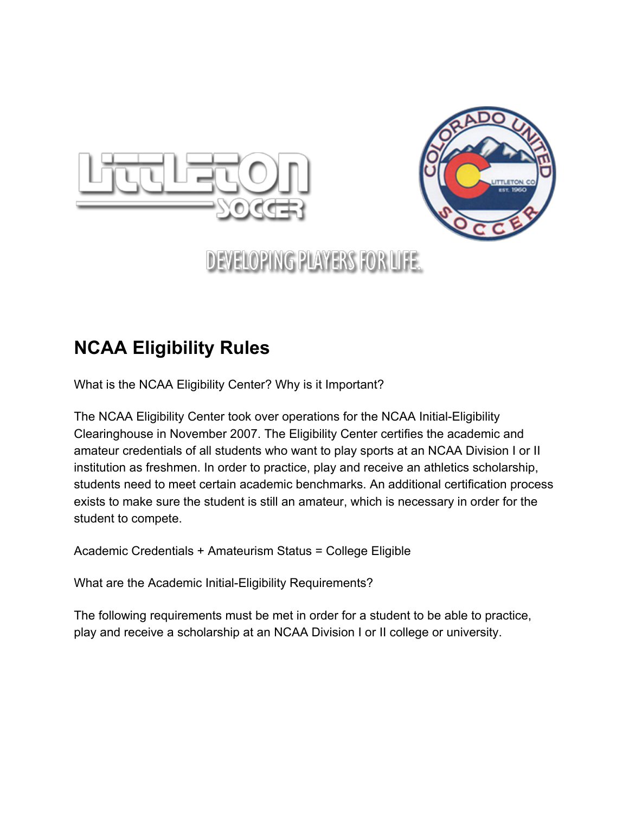



# **DEVELOPING PLAYERS FOR LIFE.**

### **NCAA Eligibility Rules**

What is the NCAA Eligibility Center? Why is it Important?

The NCAA Eligibility Center took over operations for the NCAA Initial-Eligibility Clearinghouse in November 2007. The Eligibility Center certifies the academic and amateur credentials of all students who want to play sports at an NCAA Division I or II institution as freshmen. In order to practice, play and receive an athletics scholarship, students need to meet certain academic benchmarks. An additional certification process exists to make sure the student is still an amateur, which is necessary in order for the student to compete.

Academic Credentials + Amateurism Status = College Eligible

What are the Academic Initial-Eligibility Requirements?

The following requirements must be met in order for a student to be able to practice, play and receive a scholarship at an NCAA Division I or II college or university.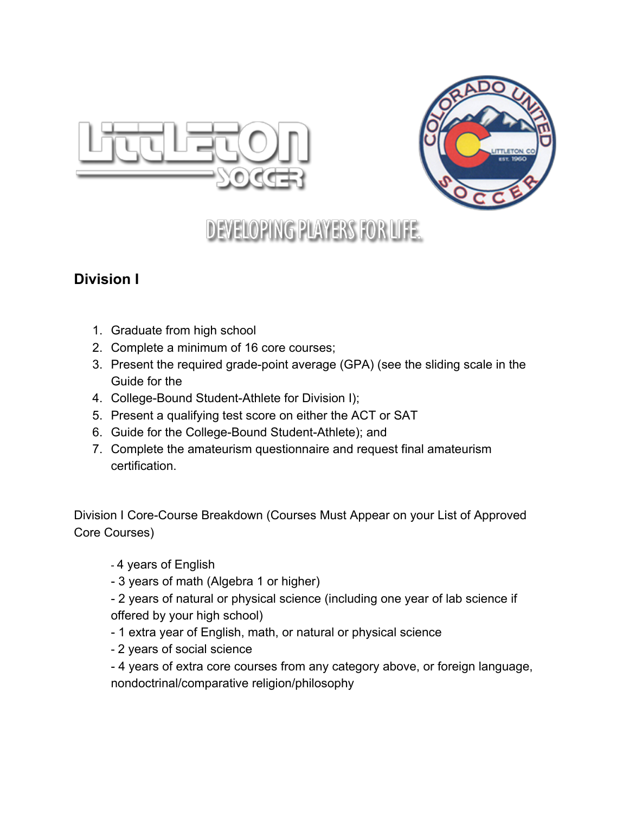



## **DEVELOPING PLAYERS FOR LIFE.**

#### **Division I**

- 1. Graduate from high school
- 2. Complete a minimum of 16 core courses;
- 3. Present the required grade-point average (GPA) (see the sliding scale in the Guide for the
- 4. College-Bound Student-Athlete for Division I);
- 5. Present a qualifying test score on either the ACT or SAT
- 6. Guide for the College-Bound Student-Athlete); and
- 7. Complete the amateurism questionnaire and request final amateurism certification.

Division I Core-Course Breakdown (Courses Must Appear on your List of Approved Core Courses)

4 years of English

3 years of math (Algebra 1 or higher)

 2 years of natural or physical science (including one year of lab science if offered by your high school)

- 1 extra year of English, math, or natural or physical science
- 2 years of social science

 4 years of extra core courses from any category above, or foreign language, nondoctrinal/comparative religion/philosophy